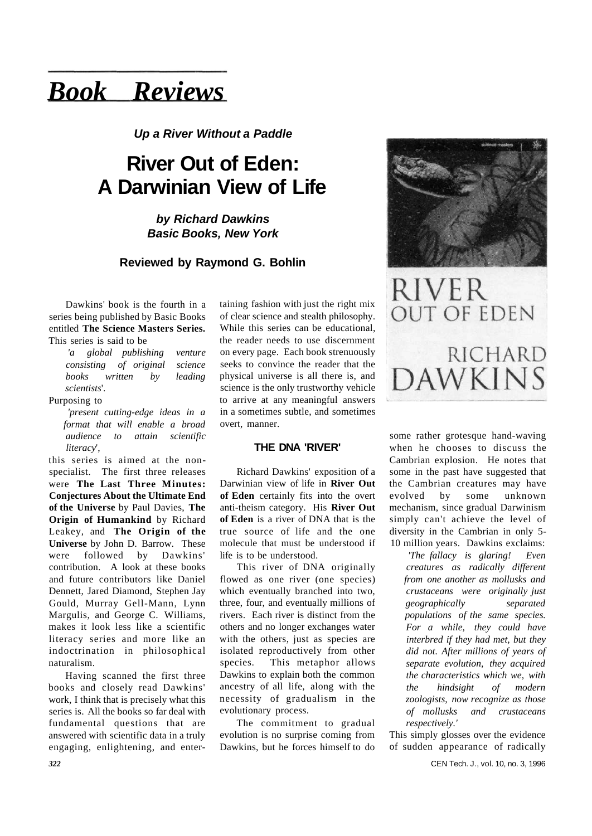# *Book Reviews*

**Up a River Without a Paddle** 

# **River Out of Eden: A Darwinian View of Life**

**by Richard Dawkins Basic Books, New York** 

# **Reviewed by Raymond G. Bohlin**

Dawkins' book is the fourth in a series being published by Basic Books entitled **The Science Masters Series.**  This series is said to be

*'a global publishing venture consisting of original science books written by leading scientists*'.

#### Purposing to

*'present cutting-edge ideas in a format that will enable a broad audience to attain scientific literacy*',

this series is aimed at the nonspecialist. The first three releases were **The Last Three Minutes: Conjectures About the Ultimate End of the Universe** by Paul Davies, **The Origin of Humankind** by Richard Leakey, and **The Origin of the Universe** by John D. Barrow. These were followed by Dawkins' contribution. A look at these books and future contributors like Daniel Dennett, Jared Diamond, Stephen Jay Gould, Murray Gell-Mann, Lynn Margulis, and George C. Williams, makes it look less like a scientific literacy series and more like an indoctrination in philosophical naturalism.

Having scanned the first three books and closely read Dawkins' work, I think that is precisely what this series is. All the books so far deal with fundamental questions that are answered with scientific data in a truly engaging, enlightening, and entertaining fashion with just the right mix of clear science and stealth philosophy. While this series can be educational, the reader needs to use discernment on every page. Each book strenuously seeks to convince the reader that the physical universe is all there is, and science is the only trustworthy vehicle to arrive at any meaningful answers in a sometimes subtle, and sometimes overt, manner.

## **THE DNA 'RIVER'**

Richard Dawkins' exposition of a Darwinian view of life in **River Out of Eden** certainly fits into the overt anti-theism category. His **River Out of Eden** is a river of DNA that is the true source of life and the one molecule that must be understood if life is to be understood.

This river of DNA originally flowed as one river (one species) which eventually branched into two, three, four, and eventually millions of rivers. Each river is distinct from the others and no longer exchanges water with the others, just as species are isolated reproductively from other species. This metaphor allows Dawkins to explain both the common ancestry of all life, along with the necessity of gradualism in the evolutionary process.

The commitment to gradual evolution is no surprise coming from Dawkins, but he forces himself to do



RIVER **OUT OF EDEN RICHARD DAWKINS** 

some rather grotesque hand-waving when he chooses to discuss the Cambrian explosion. He notes that some in the past have suggested that the Cambrian creatures may have evolved by some unknown mechanism, since gradual Darwinism simply can't achieve the level of diversity in the Cambrian in only 5- 10 million years. Dawkins exclaims:

*'The fallacy is glaring! Even creatures as radically different from one another as mollusks and crustaceans were originally just geographically separated populations of the same species. For a while, they could have interbred if they had met, but they did not. After millions of years of separate evolution, they acquired the characteristics which we, with the hindsight of modern zoologists, now recognize as those of mollusks and crustaceans respectively.'* 

This simply glosses over the evidence of sudden appearance of radically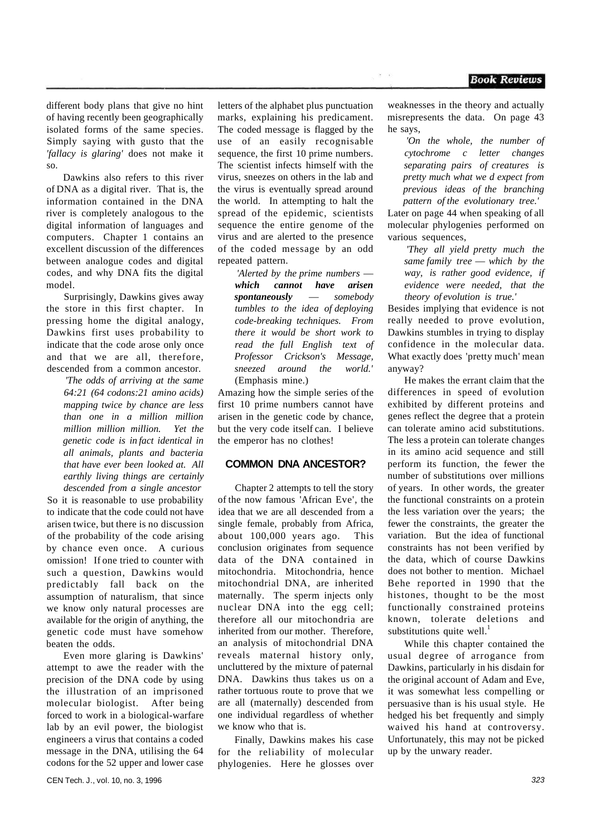different body plans that give no hint of having recently been geographically isolated forms of the same species. Simply saying with gusto that the *'fallacy is glaring'* does not make it so.

Dawkins also refers to this river of DNA as a digital river. That is, the information contained in the DNA river is completely analogous to the digital information of languages and computers. Chapter 1 contains an excellent discussion of the differences between analogue codes and digital codes, and why DNA fits the digital model.

Surprisingly, Dawkins gives away the store in this first chapter. In pressing home the digital analogy, Dawkins first uses probability to indicate that the code arose only once and that we are all, therefore, descended from a common ancestor.

> *'The odds of arriving at the same 64:21 (64 codons:21 amino acids) mapping twice by chance are less than one in a million million million million million. Yet the genetic code is in fact identical in all animals, plants and bacteria that have ever been looked at. All earthly living things are certainly descended from a single ancestor*

So it is reasonable to use probability to indicate that the code could not have arisen twice, but there is no discussion of the probability of the code arising by chance even once. A curious omission! If one tried to counter with such a question, Dawkins would predictably fall back on the assumption of naturalism, that since we know only natural processes are available for the origin of anything, the genetic code must have somehow beaten the odds.

Even more glaring is Dawkins' attempt to awe the reader with the precision of the DNA code by using the illustration of an imprisoned molecular biologist. After being forced to work in a biological-warfare lab by an evil power, the biologist engineers a virus that contains a coded message in the DNA, utilising the 64 codons for the 52 upper and lower case

letters of the alphabet plus punctuation marks, explaining his predicament. The coded message is flagged by the use of an easily recognisable sequence, the first 10 prime numbers. The scientist infects himself with the virus, sneezes on others in the lab and the virus is eventually spread around the world. In attempting to halt the spread of the epidemic, scientists sequence the entire genome of the virus and are alerted to the presence of the coded message by an odd repeated pattern.

*'Alerted by the prime numbers which cannot have arisen spontaneously* — *somebody tumbles to the idea of deploying code-breaking techniques. From there it would be short work to read the full English text of Professor Crickson's Message, sneezed around the world.'*  (Emphasis mine.)

Amazing how the simple series of the first 10 prime numbers cannot have arisen in the genetic code by chance, but the very code itself can. I believe the emperor has no clothes!

#### **COMMON DNA ANCESTOR?**

Chapter 2 attempts to tell the story of the now famous 'African Eve', the idea that we are all descended from a single female, probably from Africa, about 100,000 years ago. This conclusion originates from sequence data of the DNA contained in mitochondria. Mitochondria, hence mitochondrial DNA, are inherited maternally. The sperm injects only nuclear DNA into the egg cell; therefore all our mitochondria are inherited from our mother. Therefore, an analysis of mitochondrial DNA reveals maternal history only, uncluttered by the mixture of paternal DNA. Dawkins thus takes us on a rather tortuous route to prove that we are all (maternally) descended from one individual regardless of whether we know who that is.

Finally, Dawkins makes his case for the reliability of molecular phylogenies. Here he glosses over weaknesses in the theory and actually misrepresents the data. On page 43 he says,

*'On the whole, the number of cytochrome c letter changes separating pairs of creatures is pretty much what we d expect from previous ideas of the branching pattern of the evolutionary tree.'* 

Later on page 44 when speaking of all molecular phylogenies performed on various sequences,

> *'They all yield pretty much the same family tree* — *which by the way, is rather good evidence, if evidence were needed, that the theory of evolution is true.'*

Besides implying that evidence is not really needed to prove evolution, Dawkins stumbles in trying to display confidence in the molecular data. What exactly does 'pretty much' mean anyway?

He makes the errant claim that the differences in speed of evolution exhibited by different proteins and genes reflect the degree that a protein can tolerate amino acid substitutions. The less a protein can tolerate changes in its amino acid sequence and still perform its function, the fewer the number of substitutions over millions of years. In other words, the greater the functional constraints on a protein the less variation over the years; the fewer the constraints, the greater the variation. But the idea of functional constraints has not been verified by the data, which of course Dawkins does not bother to mention. Michael Behe reported in 1990 that the histones, thought to be the most functionally constrained proteins known, tolerate deletions and substitutions quite well.<sup>1</sup>

While this chapter contained the usual degree of arrogance from Dawkins, particularly in his disdain for the original account of Adam and Eve, it was somewhat less compelling or persuasive than is his usual style. He hedged his bet frequently and simply waived his hand at controversy. Unfortunately, this may not be picked up by the unwary reader.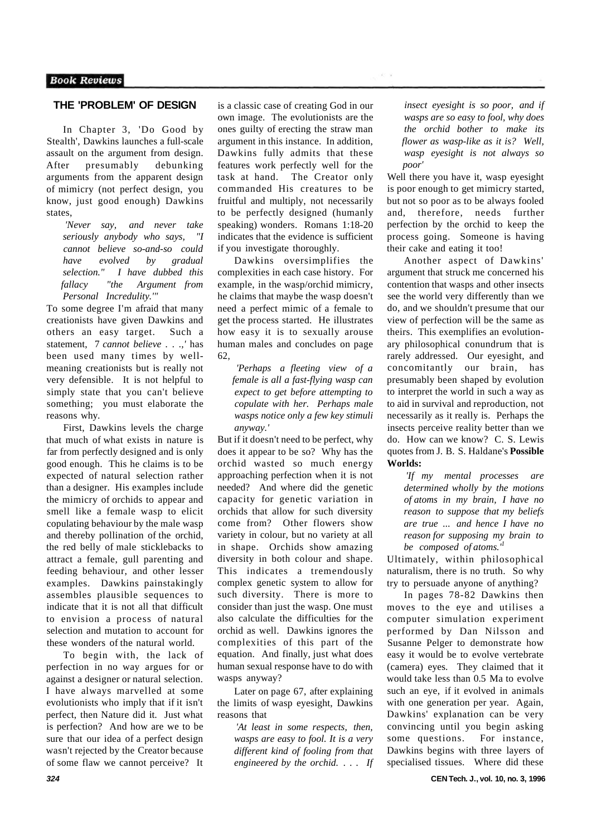# **THE 'PROBLEM' OF DESIGN**

In Chapter 3, 'Do Good by Stealth', Dawkins launches a full-scale assault on the argument from design. After presumably debunking arguments from the apparent design of mimicry (not perfect design, you know, just good enough) Dawkins states,

*'Never say, and never take seriously anybody who says, "I cannot believe so-and-so could have evolved by gradual selection." I have dubbed this fallacy "the Argument from Personal Incredulity.'"* 

To some degree I'm afraid that many creationists have given Dawkins and others an easy target. Such a statement, 7 *cannot believe . . .,'* has been used many times by wellmeaning creationists but is really not very defensible. It is not helpful to simply state that you can't believe something; you must elaborate the reasons why.

First, Dawkins levels the charge that much of what exists in nature is far from perfectly designed and is only good enough. This he claims is to be expected of natural selection rather than a designer. His examples include the mimicry of orchids to appear and smell like a female wasp to elicit copulating behaviour by the male wasp and thereby pollination of the orchid, the red belly of male sticklebacks to attract a female, gull parenting and feeding behaviour, and other lesser examples. Dawkins painstakingly assembles plausible sequences to indicate that it is not all that difficult to envision a process of natural selection and mutation to account for these wonders of the natural world.

To begin with, the lack of perfection in no way argues for or against a designer or natural selection. I have always marvelled at some evolutionists who imply that if it isn't perfect, then Nature did it. Just what is perfection? And how are we to be sure that our idea of a perfect design wasn't rejected by the Creator because of some flaw we cannot perceive? It

is a classic case of creating God in our own image. The evolutionists are the ones guilty of erecting the straw man argument in this instance. In addition, Dawkins fully admits that these features work perfectly well for the task at hand. The Creator only commanded His creatures to be fruitful and multiply, not necessarily to be perfectly designed (humanly speaking) wonders. Romans 1:18-20 indicates that the evidence is sufficient if you investigate thoroughly.

Dawkins oversimplifies the complexities in each case history. For example, in the wasp/orchid mimicry, he claims that maybe the wasp doesn't need a perfect mimic of a female to get the process started. He illustrates how easy it is to sexually arouse human males and concludes on page 62,

*'Perhaps a fleeting view of a female is all a fast-flying wasp can expect to get before attempting to copulate with her. Perhaps male wasps notice only a few key stimuli anyway.'* 

But if it doesn't need to be perfect, why does it appear to be so? Why has the orchid wasted so much energy approaching perfection when it is not needed? And where did the genetic capacity for genetic variation in orchids that allow for such diversity come from? Other flowers show variety in colour, but no variety at all in shape. Orchids show amazing diversity in both colour and shape. This indicates a tremendously complex genetic system to allow for such diversity. There is more to consider than just the wasp. One must also calculate the difficulties for the orchid as well. Dawkins ignores the complexities of this part of the equation. And finally, just what does human sexual response have to do with wasps anyway?

Later on page 67, after explaining the limits of wasp eyesight, Dawkins reasons that

*'At least in some respects, then, wasps are easy to fool. It is a very different kind of fooling from that engineered by the orchid. . . . If* 

**324 CEN Tech. J., vol. 10, no. 3, 1996** 

*insect eyesight is so poor, and if wasps are so easy to fool, why does the orchid bother to make its flower as wasp-like as it is? Well, wasp eyesight is not always so poor'* 

Well there you have it, wasp eyesight is poor enough to get mimicry started, but not so poor as to be always fooled and, therefore, needs further perfection by the orchid to keep the process going. Someone is having their cake and eating it too!

Another aspect of Dawkins' argument that struck me concerned his contention that wasps and other insects see the world very differently than we do, and we shouldn't presume that our view of perfection will be the same as theirs. This exemplifies an evolutionary philosophical conundrum that is rarely addressed. Our eyesight, and concomitantly our brain, has presumably been shaped by evolution to interpret the world in such a way as to aid in survival and reproduction, not necessarily as it really is. Perhaps the insects perceive reality better than we do. How can we know? C. S. Lewis quotes from J. B. S. Haldane's **Possible Worlds:** 

*'If my mental processes are determined wholly by the motions of atoms in my brain, I have no reason to suppose that my beliefs are true ... and hence I have no reason for supposing my brain to be composed of atoms.'<sup>1</sup>*

Ultimately, within philosophical naturalism, there is no truth. So why try to persuade anyone of anything?

In pages 78-82 Dawkins then moves to the eye and utilises a computer simulation experiment performed by Dan Nilsson and Susanne Pelger to demonstrate how easy it would be to evolve vertebrate (camera) eyes. They claimed that it would take less than 0.5 Ma to evolve such an eye, if it evolved in animals with one generation per year. Again, Dawkins' explanation can be very convincing until you begin asking some questions. For instance, Dawkins begins with three layers of specialised tissues. Where did these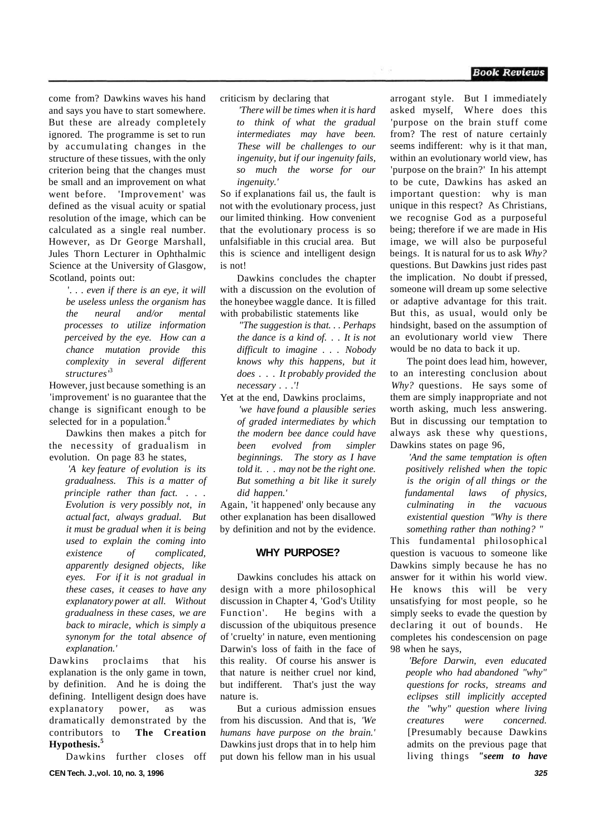come from? Dawkins waves his hand and says you have to start somewhere. But these are already completely ignored. The programme is set to run by accumulating changes in the structure of these tissues, with the only criterion being that the changes must be small and an improvement on what went before. 'Improvement' was defined as the visual acuity or spatial resolution of the image, which can be calculated as a single real number. However, as Dr George Marshall, Jules Thorn Lecturer in Ophthalmic Science at the University of Glasgow, Scotland, points out:

'. . . *even if there is an eye, it will be useless unless the organism has the neural and/or mental processes to utilize information perceived by the eye. How can a chance mutation provide this complexity in several different structures'*<sup>3</sup>

However, just because something is an 'improvement' is no guarantee that the change is significant enough to be selected for in a population.<sup>4</sup>

Dawkins then makes a pitch for the necessity of gradualism in evolution. On page 83 he states,

*'A key feature of evolution is its gradualness. This is a matter of principle rather than fact.* . . . *Evolution is very possibly not, in actual fact, always gradual. But it must be gradual when it is being used to explain the coming into existence of complicated, apparently designed objects, like eyes. For if it is not gradual in these cases, it ceases to have any explanatory power at all. Without gradualness in these cases, we are back to miracle, which is simply a synonym for the total absence of explanation.'* 

Dawkins proclaims that his explanation is the only game in town, by definition. And he is doing the defining. Intelligent design does have explanatory power, as was dramatically demonstrated by the contributors to **The Creation Hypothesis.<sup>5</sup>**

Dawkins further closes off **CEN Tech. J.,vol. 10, no. 3, 1996 325** 

criticism by declaring that

*'There will be times when it is hard to think of what the gradual intermediates may have been. These will be challenges to our ingenuity, but if our ingenuity fails, so much the worse for our ingenuity.'* 

So if explanations fail us, the fault is not with the evolutionary process, just our limited thinking. How convenient that the evolutionary process is so unfalsifiable in this crucial area. But this is science and intelligent design is not!

Dawkins concludes the chapter with a discussion on the evolution of the honeybee waggle dance. It is filled with probabilistic statements like

*"The suggestion is that. . . Perhaps the dance is a kind of. . . It is not difficult to imagine . . . Nobody knows why this happens, but it does . . . It probably provided the necessary . . .'!* 

Yet at the end, Dawkins proclaims, *'we have found a plausible series of graded intermediates by which the modern bee dance could have been evolved from simpler beginnings. The story as I have told it. . . may not be the right one. But something a bit like it surely did happen.'* 

Again, 'it happened' only because any other explanation has been disallowed by definition and not by the evidence.

#### **WHY PURPOSE?**

Dawkins concludes his attack on design with a more philosophical discussion in Chapter 4, 'God's Utility Function'. He begins with a discussion of the ubiquitous presence of 'cruelty' in nature, even mentioning Darwin's loss of faith in the face of this reality. Of course his answer is that nature is neither cruel nor kind, but indifferent. That's just the way nature is.

But a curious admission ensues from his discussion. And that is, *'We humans have purpose on the brain.'*  Dawkins just drops that in to help him put down his fellow man in his usual arrogant style. But I immediately asked myself, Where does this 'purpose on the brain stuff come from? The rest of nature certainly seems indifferent: why is it that man, within an evolutionary world view, has 'purpose on the brain?' In his attempt to be cute, Dawkins has asked an important question: why is man unique in this respect? As Christians, we recognise God as a purposeful being; therefore if we are made in His image, we will also be purposeful beings. It is natural for us to ask *Why?*  questions. But Dawkins just rides past the implication. No doubt if pressed, someone will dream up some selective or adaptive advantage for this trait. But this, as usual, would only be hindsight, based on the assumption of an evolutionary world view There would be no data to back it up.

The point does lead him, however, to an interesting conclusion about *Why?* questions. He says some of them are simply inappropriate and not worth asking, much less answering. But in discussing our temptation to always ask these why questions, Dawkins states on page 96,

*'And the same temptation is often positively relished when the topic is the origin of all things or the fundamental laws of physics, culminating in the vacuous existential question "Why is there something rather than nothing? "* 

This fundamental philosophical question is vacuous to someone like Dawkins simply because he has no answer for it within his world view. He knows this will be very unsatisfying for most people, so he simply seeks to evade the question by declaring it out of bounds. He completes his condescension on page 98 when he says,

*'Before Darwin, even educated people who had abandoned "why" questions for rocks, streams and eclipses still implicitly accepted the "why" question where living creatures were concerned.*  [Presumably because Dawkins admits on the previous page that living things *"seem to have* 

#### **Book Reviews**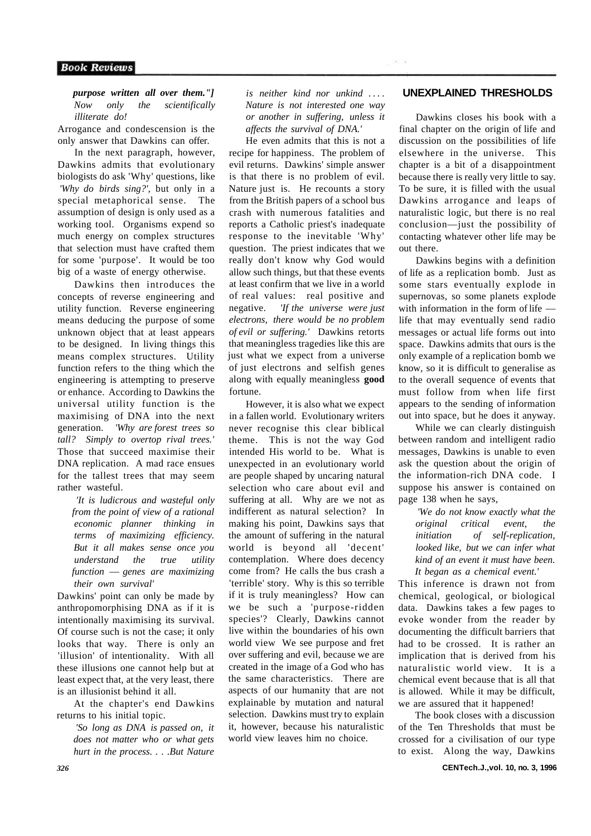#### *purpose written all over them."] Now only the scientifically illiterate do!*

Arrogance and condescension is the only answer that Dawkins can offer.

In the next paragraph, however, Dawkins admits that evolutionary biologists do ask 'Why' questions, like *'Why do birds sing?',* but only in a special metaphorical sense. The assumption of design is only used as a working tool. Organisms expend so much energy on complex structures that selection must have crafted them for some 'purpose'. It would be too big of a waste of energy otherwise.

Dawkins then introduces the concepts of reverse engineering and utility function. Reverse engineering means deducing the purpose of some unknown object that at least appears to be designed. In living things this means complex structures. Utility function refers to the thing which the engineering is attempting to preserve or enhance. According to Dawkins the universal utility function is the maximising of DNA into the next generation. *'Why are forest trees so tall? Simply to overtop rival trees.'*  Those that succeed maximise their DNA replication. A mad race ensues for the tallest trees that may seem rather wasteful.

*'It is ludicrous and wasteful only from the point of view of a rational economic planner thinking in terms of maximizing efficiency. But it all makes sense once you understand the true utility function* — *genes are maximizing their own survival'* 

Dawkins' point can only be made by anthropomorphising DNA as if it is intentionally maximising its survival. Of course such is not the case; it only looks that way. There is only an 'illusion' of intentionality. With all these illusions one cannot help but at least expect that, at the very least, there is an illusionist behind it all.

At the chapter's end Dawkins returns to his initial topic.

> *'So long as DNA is passed on, it does not matter who or what gets hurt in the process. . . .But Nature*

*is neither kind nor unkind* ... . *Nature is not interested one way or another in suffering, unless it affects the survival of DNA.'* 

He even admits that this is not a recipe for happiness. The problem of evil returns. Dawkins' simple answer is that there is no problem of evil. Nature just is. He recounts a story from the British papers of a school bus crash with numerous fatalities and reports a Catholic priest's inadequate response to the inevitable 'Why' question. The priest indicates that we really don't know why God would allow such things, but that these events at least confirm that we live in a world of real values: real positive and negative. *'If the universe were just electrons, there would be no problem of evil or suffering.'* Dawkins retorts that meaningless tragedies like this are just what we expect from a universe of just electrons and selfish genes along with equally meaningless **good**  fortune.

However, it is also what we expect in a fallen world. Evolutionary writers never recognise this clear biblical theme. This is not the way God intended His world to be. What is unexpected in an evolutionary world are people shaped by uncaring natural selection who care about evil and suffering at all. Why are we not as indifferent as natural selection? In making his point, Dawkins says that the amount of suffering in the natural world is beyond all 'decent' contemplation. Where does decency come from? He calls the bus crash a 'terrible' story. Why is this so terrible if it is truly meaningless? How can we be such a 'purpose-ridden species'? Clearly, Dawkins cannot live within the boundaries of his own world view We see purpose and fret over suffering and evil, because we are created in the image of a God who has the same characteristics. There are aspects of our humanity that are not explainable by mutation and natural selection. Dawkins must try to explain it, however, because his naturalistic world view leaves him no choice.

## **UNEXPLAINED THRESHOLDS**

Dawkins closes his book with a final chapter on the origin of life and discussion on the possibilities of life elsewhere in the universe. This chapter is a bit of a disappointment because there is really very little to say. To be sure, it is filled with the usual Dawkins arrogance and leaps of naturalistic logic, but there is no real conclusion—just the possibility of contacting whatever other life may be out there.

Dawkins begins with a definition of life as a replication bomb. Just as some stars eventually explode in supernovas, so some planets explode with information in the form of life life that may eventually send radio messages or actual life forms out into space. Dawkins admits that ours is the only example of a replication bomb we know, so it is difficult to generalise as to the overall sequence of events that must follow from when life first appears to the sending of information out into space, but he does it anyway.

While we can clearly distinguish between random and intelligent radio messages, Dawkins is unable to even ask the question about the origin of the information-rich DNA code. I suppose his answer is contained on page 138 when he says,

*'We do not know exactly what the original critical event, the initiation of self-replication, looked like, but we can infer what kind of an event it must have been. It began as a chemical event.'* 

This inference is drawn not from chemical, geological, or biological data. Dawkins takes a few pages to evoke wonder from the reader by documenting the difficult barriers that had to be crossed. It is rather an implication that is derived from his naturalistic world view. It is a chemical event because that is all that is allowed. While it may be difficult, we are assured that it happened!

The book closes with a discussion of the Ten Thresholds that must be crossed for a civilisation of our type to exist. Along the way, Dawkins

*326* **CENTech.J.,vol. 10, no. 3, 1996**